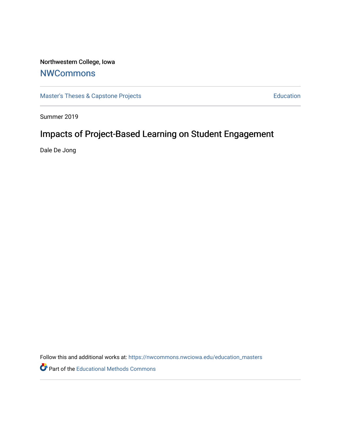# Northwestern College, Iowa

# **[NWCommons](https://nwcommons.nwciowa.edu/)**

[Master's Theses & Capstone Projects](https://nwcommons.nwciowa.edu/education_masters) **Education** Education

Summer 2019

# Impacts of Project-Based Learning on Student Engagement

Dale De Jong

Follow this and additional works at: [https://nwcommons.nwciowa.edu/education\\_masters](https://nwcommons.nwciowa.edu/education_masters?utm_source=nwcommons.nwciowa.edu%2Feducation_masters%2F162&utm_medium=PDF&utm_campaign=PDFCoverPages)

Part of the [Educational Methods Commons](http://network.bepress.com/hgg/discipline/1227?utm_source=nwcommons.nwciowa.edu%2Feducation_masters%2F162&utm_medium=PDF&utm_campaign=PDFCoverPages)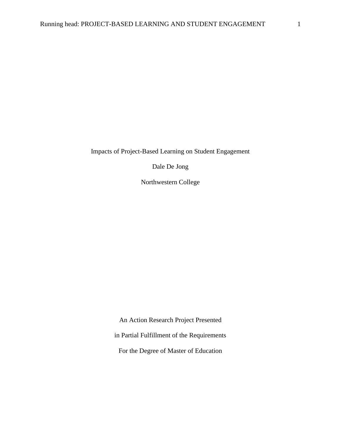Impacts of Project-Based Learning on Student Engagement

Dale De Jong

Northwestern College

An Action Research Project Presented in Partial Fulfillment of the Requirements For the Degree of Master of Education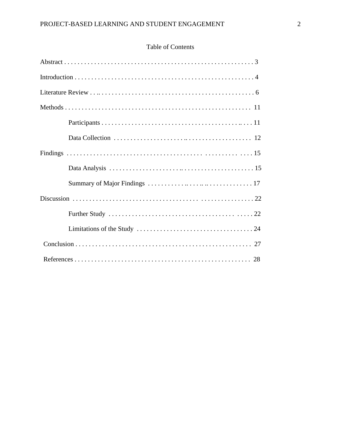# Table of Contents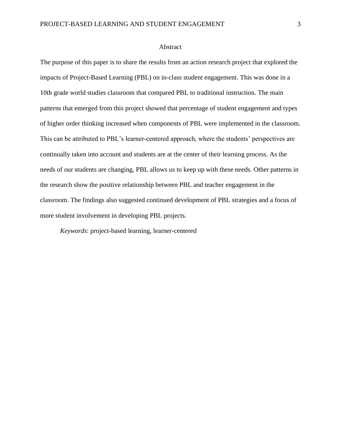### Abstract

The purpose of this paper is to share the results from an action research project that explored the impacts of Project-Based Learning (PBL) on in-class student engagement. This was done in a 10th grade world studies classroom that compared PBL to traditional instruction. The main patterns that emerged from this project showed that percentage of student engagement and types of higher order thinking increased when components of PBL were implemented in the classroom. This can be attributed to PBL's learner-centered approach, where the students' perspectives are continually taken into account and students are at the center of their learning process. As the needs of our students are changing, PBL allows us to keep up with these needs. Other patterns in the research show the positive relationship between PBL and teacher engagement in the classroom. The findings also suggested continued development of PBL strategies and a focus of more student involvement in developing PBL projects.

*Keywords*: project-based learning, learner-centered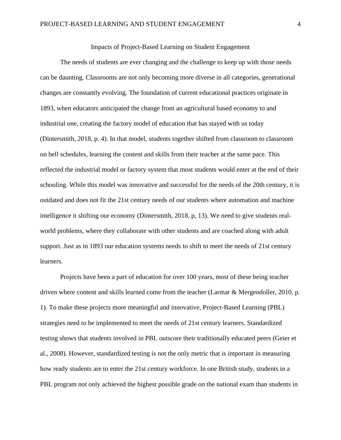# Impacts of Project-Based Learning on Student Engagement

The needs of students are ever changing and the challenge to keep up with those needs can be daunting. Classrooms are not only becoming more diverse in all categories, generational changes are constantly evolving. The foundation of current educational practices originate in 1893, when educators anticipated the change from an agricultural based economy to and industrial one, creating the factory model of education that has stayed with us today (Dintersmith, 2018, p. 4). In that model, students together shifted from classroom to classroom on bell schedules, learning the content and skills from their teacher at the same pace. This reflected the industrial model or factory system that most students would enter at the end of their schooling. While this model was innovative and successful for the needs of the 20th century, it is outdated and does not fit the 21st century needs of our students where automation and machine intelligence it shifting our economy (Dintersmith, 2018, p, 13). We need to give students realworld problems, where they collaborate with other students and are coached along with adult support. Just as in 1893 our education systems needs to shift to meet the needs of 21st century learners.

Projects have been a part of education for over 100 years, most of these being teacher driven where content and skills learned come from the teacher (Larmar & Mergendoller, 2010, p. 1). To make these projects more meaningful and innovative, Project-Based Learning (PBL) strategies need to be implemented to meet the needs of 21st century learners. Standardized testing shows that students involved in PBL outscore their traditionally educated peers (Geier et al., 2008). However, standardized testing is not the only metric that is important in measuring how ready students are to enter the 21st century workforce. In one British study, students in a PBL program not only achieved the highest possible grade on the national exam than students in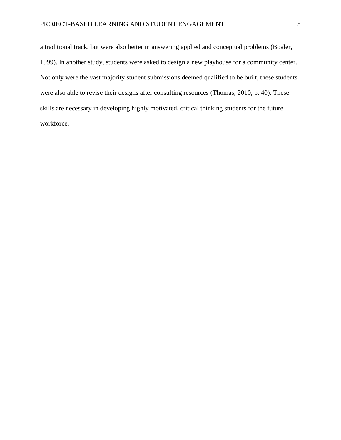a traditional track, but were also better in answering applied and conceptual problems (Boaler, 1999). In another study, students were asked to design a new playhouse for a community center. Not only were the vast majority student submissions deemed qualified to be built, these students were also able to revise their designs after consulting resources (Thomas, 2010, p. 40). These skills are necessary in developing highly motivated, critical thinking students for the future workforce.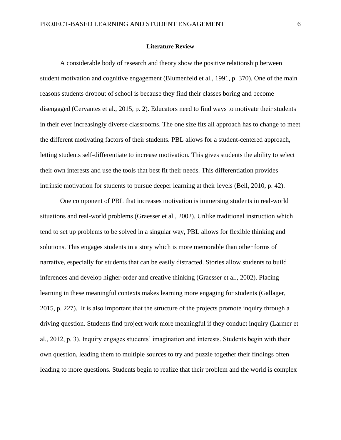#### **Literature Review**

A considerable body of research and theory show the positive relationship between student motivation and cognitive engagement (Blumenfeld et al., 1991, p. 370). One of the main reasons students dropout of school is because they find their classes boring and become disengaged (Cervantes et al., 2015, p. 2). Educators need to find ways to motivate their students in their ever increasingly diverse classrooms. The one size fits all approach has to change to meet the different motivating factors of their students. PBL allows for a student-centered approach, letting students self-differentiate to increase motivation. This gives students the ability to select their own interests and use the tools that best fit their needs. This differentiation provides intrinsic motivation for students to pursue deeper learning at their levels (Bell, 2010, p. 42).

One component of PBL that increases motivation is immersing students in real-world situations and real-world problems (Graesser et al., 2002). Unlike traditional instruction which tend to set up problems to be solved in a singular way, PBL allows for flexible thinking and solutions. This engages students in a story which is more memorable than other forms of narrative, especially for students that can be easily distracted. Stories allow students to build inferences and develop higher-order and creative thinking (Graesser et al., 2002). Placing learning in these meaningful contexts makes learning more engaging for students (Gallager, 2015, p. 227). It is also important that the structure of the projects promote inquiry through a driving question. Students find project work more meaningful if they conduct inquiry (Larmer et al., 2012, p. 3). Inquiry engages students' imagination and interests. Students begin with their own question, leading them to multiple sources to try and puzzle together their findings often leading to more questions. Students begin to realize that their problem and the world is complex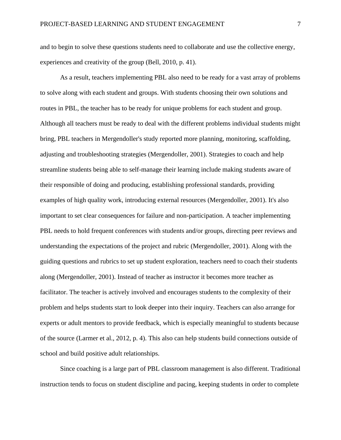and to begin to solve these questions students need to collaborate and use the collective energy, experiences and creativity of the group (Bell, 2010, p. 41).

As a result, teachers implementing PBL also need to be ready for a vast array of problems to solve along with each student and groups. With students choosing their own solutions and routes in PBL, the teacher has to be ready for unique problems for each student and group. Although all teachers must be ready to deal with the different problems individual students might bring, PBL teachers in Mergendoller's study reported more planning, monitoring, scaffolding, adjusting and troubleshooting strategies (Mergendoller, 2001). Strategies to coach and help streamline students being able to self-manage their learning include making students aware of their responsible of doing and producing, establishing professional standards, providing examples of high quality work, introducing external resources (Mergendoller, 2001). It's also important to set clear consequences for failure and non-participation. A teacher implementing PBL needs to hold frequent conferences with students and/or groups, directing peer reviews and understanding the expectations of the project and rubric (Mergendoller, 2001). Along with the guiding questions and rubrics to set up student exploration, teachers need to coach their students along (Mergendoller, 2001). Instead of teacher as instructor it becomes more teacher as facilitator. The teacher is actively involved and encourages students to the complexity of their problem and helps students start to look deeper into their inquiry. Teachers can also arrange for experts or adult mentors to provide feedback, which is especially meaningful to students because of the source (Larmer et al., 2012, p. 4). This also can help students build connections outside of school and build positive adult relationships.

Since coaching is a large part of PBL classroom management is also different. Traditional instruction tends to focus on student discipline and pacing, keeping students in order to complete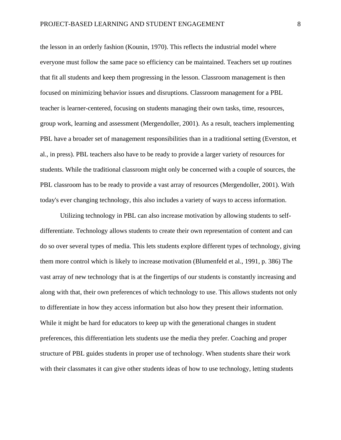the lesson in an orderly fashion (Kounin, 1970). This reflects the industrial model where everyone must follow the same pace so efficiency can be maintained. Teachers set up routines that fit all students and keep them progressing in the lesson. Classroom management is then focused on minimizing behavior issues and disruptions. Classroom management for a PBL teacher is learner-centered, focusing on students managing their own tasks, time, resources, group work, learning and assessment (Mergendoller, 2001). As a result, teachers implementing PBL have a broader set of management responsibilities than in a traditional setting (Everston, et al., in press). PBL teachers also have to be ready to provide a larger variety of resources for students. While the traditional classroom might only be concerned with a couple of sources, the PBL classroom has to be ready to provide a vast array of resources (Mergendoller, 2001). With today's ever changing technology, this also includes a variety of ways to access information.

Utilizing technology in PBL can also increase motivation by allowing students to selfdifferentiate. Technology allows students to create their own representation of content and can do so over several types of media. This lets students explore different types of technology, giving them more control which is likely to increase motivation (Blumenfeld et al., 1991, p. 386) The vast array of new technology that is at the fingertips of our students is constantly increasing and along with that, their own preferences of which technology to use. This allows students not only to differentiate in how they access information but also how they present their information. While it might be hard for educators to keep up with the generational changes in student preferences, this differentiation lets students use the media they prefer. Coaching and proper structure of PBL guides students in proper use of technology. When students share their work with their classmates it can give other students ideas of how to use technology, letting students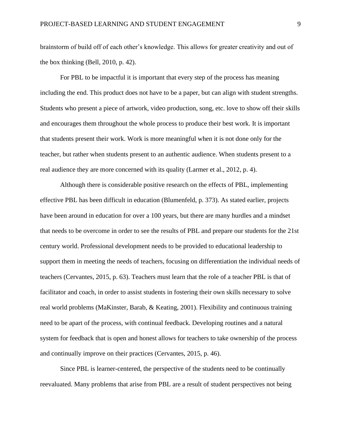brainstorm of build off of each other's knowledge. This allows for greater creativity and out of the box thinking (Bell, 2010, p. 42).

For PBL to be impactful it is important that every step of the process has meaning including the end. This product does not have to be a paper, but can align with student strengths. Students who present a piece of artwork, video production, song, etc. love to show off their skills and encourages them throughout the whole process to produce their best work. It is important that students present their work. Work is more meaningful when it is not done only for the teacher, but rather when students present to an authentic audience. When students present to a real audience they are more concerned with its quality (Larmer et al., 2012, p. 4).

Although there is considerable positive research on the effects of PBL, implementing effective PBL has been difficult in education (Blumenfeld, p. 373). As stated earlier, projects have been around in education for over a 100 years, but there are many hurdles and a mindset that needs to be overcome in order to see the results of PBL and prepare our students for the 21st century world. Professional development needs to be provided to educational leadership to support them in meeting the needs of teachers, focusing on differentiation the individual needs of teachers (Cervantes, 2015, p. 63). Teachers must learn that the role of a teacher PBL is that of facilitator and coach, in order to assist students in fostering their own skills necessary to solve real world problems (MaKinster, Barab, & Keating, 2001). Flexibility and continuous training need to be apart of the process, with continual feedback. Developing routines and a natural system for feedback that is open and honest allows for teachers to take ownership of the process and continually improve on their practices (Cervantes, 2015, p. 46).

Since PBL is learner-centered, the perspective of the students need to be continually reevaluated. Many problems that arise from PBL are a result of student perspectives not being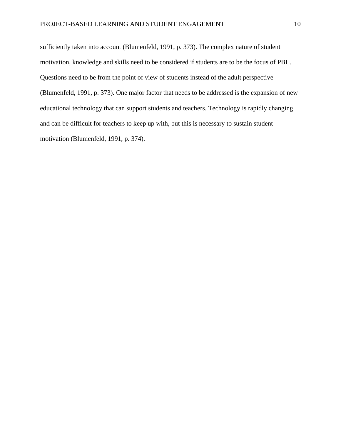sufficiently taken into account (Blumenfeld, 1991, p. 373). The complex nature of student motivation, knowledge and skills need to be considered if students are to be the focus of PBL. Questions need to be from the point of view of students instead of the adult perspective (Blumenfeld, 1991, p. 373). One major factor that needs to be addressed is the expansion of new educational technology that can support students and teachers. Technology is rapidly changing and can be difficult for teachers to keep up with, but this is necessary to sustain student motivation (Blumenfeld, 1991, p. 374).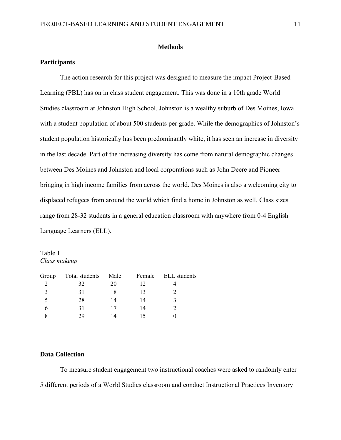#### **Methods**

# **Participants**

The action research for this project was designed to measure the impact Project-Based Learning (PBL) has on in class student engagement. This was done in a 10th grade World Studies classroom at Johnston High School. Johnston is a wealthy suburb of Des Moines, Iowa with a student population of about 500 students per grade. While the demographics of Johnston's student population historically has been predominantly white, it has seen an increase in diversity in the last decade. Part of the increasing diversity has come from natural demographic changes between Des Moines and Johnston and local corporations such as John Deere and Pioneer bringing in high income families from across the world. Des Moines is also a welcoming city to displaced refugees from around the world which find a home in Johnston as well. Class sizes range from 28-32 students in a general education classroom with anywhere from 0-4 English Language Learners (ELL).

Table 1 *Class makeup\_\_\_\_\_\_\_\_\_\_\_\_\_\_\_\_\_\_\_\_\_\_\_\_\_\_\_\_\_\_\_\_\_\_\_*

| Group | Total students | Male | Female | <b>ELL</b> students |
|-------|----------------|------|--------|---------------------|
|       | 32             | 20   | 12     |                     |
| 3     | 31             | 18   | 13     |                     |
| 5     | 28             | 14   | 14     |                     |
|       | 31             |      | 14     |                     |
|       | 29             |      |        |                     |
|       |                |      |        |                     |

# **Data Collection**

To measure student engagement two instructional coaches were asked to randomly enter 5 different periods of a World Studies classroom and conduct Instructional Practices Inventory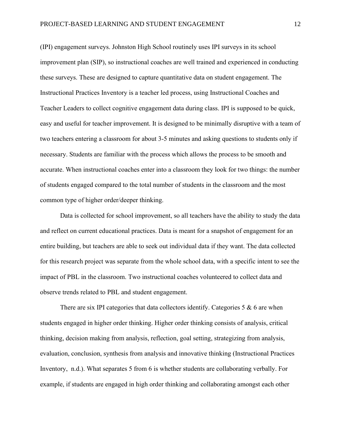(IPI) engagement surveys. Johnston High School routinely uses IPI surveys in its school improvement plan (SIP), so instructional coaches are well trained and experienced in conducting these surveys. These are designed to capture quantitative data on student engagement. The Instructional Practices Inventory is a teacher led process, using Instructional Coaches and Teacher Leaders to collect cognitive engagement data during class. IPI is supposed to be quick, easy and useful for teacher improvement. It is designed to be minimally disruptive with a team of two teachers entering a classroom for about 3-5 minutes and asking questions to students only if necessary. Students are familiar with the process which allows the process to be smooth and accurate. When instructional coaches enter into a classroom they look for two things: the number of students engaged compared to the total number of students in the classroom and the most common type of higher order/deeper thinking.

Data is collected for school improvement, so all teachers have the ability to study the data and reflect on current educational practices. Data is meant for a snapshot of engagement for an entire building, but teachers are able to seek out individual data if they want. The data collected for this research project was separate from the whole school data, with a specific intent to see the impact of PBL in the classroom. Two instructional coaches volunteered to collect data and observe trends related to PBL and student engagement.

There are six IPI categories that data collectors identify. Categories  $5 \& 6$  are when students engaged in higher order thinking. Higher order thinking consists of analysis, critical thinking, decision making from analysis, reflection, goal setting, strategizing from analysis, evaluation, conclusion, synthesis from analysis and innovative thinking (Instructional Practices Inventory, n.d.). What separates 5 from 6 is whether students are collaborating verbally. For example, if students are engaged in high order thinking and collaborating amongst each other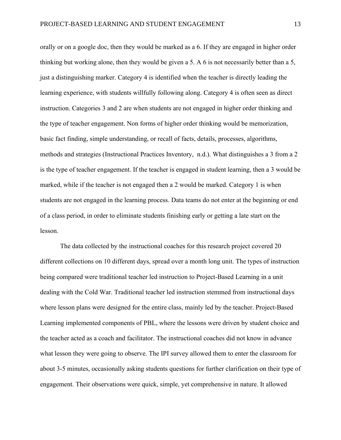orally or on a google doc, then they would be marked as a 6. If they are engaged in higher order thinking but working alone, then they would be given a 5. A 6 is not necessarily better than a 5, just a distinguishing marker. Category 4 is identified when the teacher is directly leading the learning experience, with students willfully following along. Category 4 is often seen as direct instruction. Categories 3 and 2 are when students are not engaged in higher order thinking and the type of teacher engagement. Non forms of higher order thinking would be memorization, basic fact finding, simple understanding, or recall of facts, details, processes, algorithms, methods and strategies (Instructional Practices Inventory, n.d.). What distinguishes a 3 from a 2 is the type of teacher engagement. If the teacher is engaged in student learning, then a 3 would be marked, while if the teacher is not engaged then a 2 would be marked. Category 1 is when students are not engaged in the learning process. Data teams do not enter at the beginning or end of a class period, in order to eliminate students finishing early or getting a late start on the lesson.

The data collected by the instructional coaches for this research project covered 20 different collections on 10 different days, spread over a month long unit. The types of instruction being compared were traditional teacher led instruction to Project-Based Learning in a unit dealing with the Cold War. Traditional teacher led instruction stemmed from instructional days where lesson plans were designed for the entire class, mainly led by the teacher. Project-Based Learning implemented components of PBL, where the lessons were driven by student choice and the teacher acted as a coach and facilitator. The instructional coaches did not know in advance what lesson they were going to observe. The IPI survey allowed them to enter the classroom for about 3-5 minutes, occasionally asking students questions for further clarification on their type of engagement. Their observations were quick, simple, yet comprehensive in nature. It allowed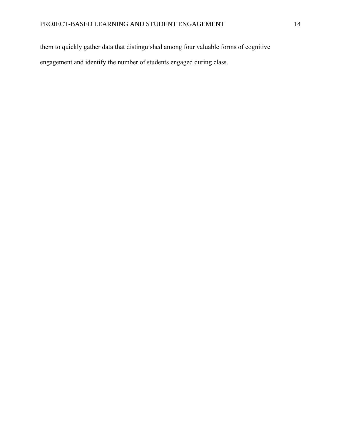them to quickly gather data that distinguished among four valuable forms of cognitive engagement and identify the number of students engaged during class.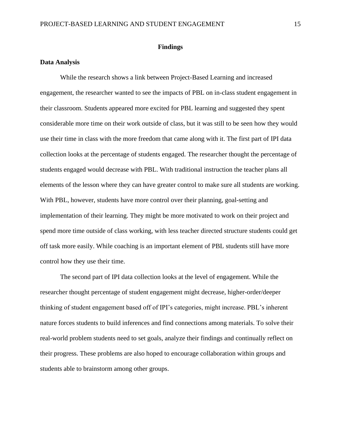#### **Findings**

## **Data Analysis**

While the research shows a link between Project-Based Learning and increased engagement, the researcher wanted to see the impacts of PBL on in-class student engagement in their classroom. Students appeared more excited for PBL learning and suggested they spent considerable more time on their work outside of class, but it was still to be seen how they would use their time in class with the more freedom that came along with it. The first part of IPI data collection looks at the percentage of students engaged. The researcher thought the percentage of students engaged would decrease with PBL. With traditional instruction the teacher plans all elements of the lesson where they can have greater control to make sure all students are working. With PBL, however, students have more control over their planning, goal-setting and implementation of their learning. They might be more motivated to work on their project and spend more time outside of class working, with less teacher directed structure students could get off task more easily. While coaching is an important element of PBL students still have more control how they use their time.

The second part of IPI data collection looks at the level of engagement. While the researcher thought percentage of student engagement might decrease, higher-order/deeper thinking of student engagement based off of IPI's categories, might increase. PBL's inherent nature forces students to build inferences and find connections among materials. To solve their real-world problem students need to set goals, analyze their findings and continually reflect on their progress. These problems are also hoped to encourage collaboration within groups and students able to brainstorm among other groups.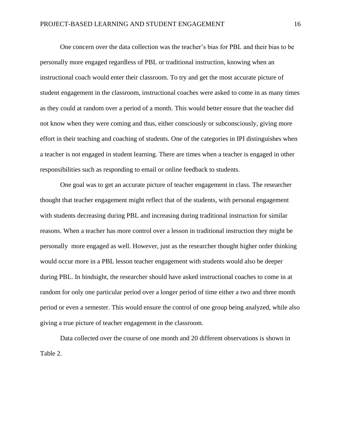One concern over the data collection was the teacher's bias for PBL and their bias to be personally more engaged regardless of PBL or traditional instruction, knowing when an instructional coach would enter their classroom. To try and get the most accurate picture of student engagement in the classroom, instructional coaches were asked to come in as many times as they could at random over a period of a month. This would better ensure that the teacher did not know when they were coming and thus, either consciously or subconsciously, giving more effort in their teaching and coaching of students. One of the categories in IPI distinguishes when a teacher is not engaged in student learning. There are times when a teacher is engaged in other responsibilities such as responding to email or online feedback to students.

One goal was to get an accurate picture of teacher engagement in class. The researcher thought that teacher engagement might reflect that of the students, with personal engagement with students decreasing during PBL and increasing during traditional instruction for similar reasons. When a teacher has more control over a lesson in traditional instruction they might be personally more engaged as well. However, just as the researcher thought higher order thinking would occur more in a PBL lesson teacher engagement with students would also be deeper during PBL. In hindsight, the researcher should have asked instructional coaches to come in at random for only one particular period over a longer period of time either a two and three month period or even a semester. This would ensure the control of one group being analyzed, while also giving a true picture of teacher engagement in the classroom.

Data collected over the course of one month and 20 different observations is shown in Table 2.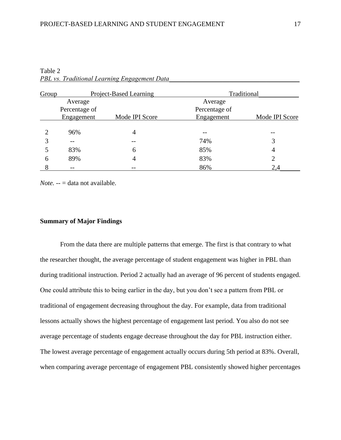| Group | Project-Based Learning |                | Traditional   |                |  |
|-------|------------------------|----------------|---------------|----------------|--|
|       | Average                |                | Average       |                |  |
|       | Percentage of          |                | Percentage of |                |  |
|       | Engagement             | Mode IPI Score | Engagement    | Mode IPI Score |  |
|       |                        |                |               |                |  |
| ↑     | 96%                    | 4              |               |                |  |
| 3     | --                     |                | 74%           |                |  |
|       | 83%                    | 6              | 85%           | 4              |  |
| 6     | 89%                    | $\overline{4}$ | 83%           | 2              |  |
| 8     | --                     |                | 86%           | 2,4            |  |

Table 2 *PBL vs. Traditional Learning Engagement Data* 

*Note.* -- = data not available.

# **Summary of Major Findings**

From the data there are multiple patterns that emerge. The first is that contrary to what the researcher thought, the average percentage of student engagement was higher in PBL than during traditional instruction. Period 2 actually had an average of 96 percent of students engaged. One could attribute this to being earlier in the day, but you don't see a pattern from PBL or traditional of engagement decreasing throughout the day. For example, data from traditional lessons actually shows the highest percentage of engagement last period. You also do not see average percentage of students engage decrease throughout the day for PBL instruction either. The lowest average percentage of engagement actually occurs during 5th period at 83%. Overall, when comparing average percentage of engagement PBL consistently showed higher percentages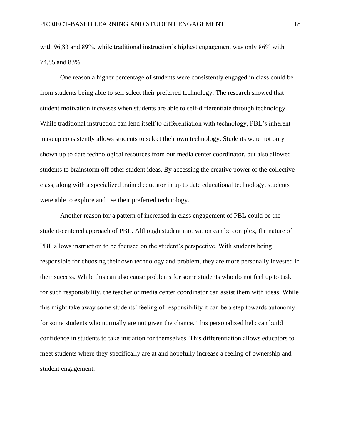with 96,83 and 89%, while traditional instruction's highest engagement was only 86% with 74,85 and 83%.

One reason a higher percentage of students were consistently engaged in class could be from students being able to self select their preferred technology. The research showed that student motivation increases when students are able to self-differentiate through technology. While traditional instruction can lend itself to differentiation with technology, PBL's inherent makeup consistently allows students to select their own technology. Students were not only shown up to date technological resources from our media center coordinator, but also allowed students to brainstorm off other student ideas. By accessing the creative power of the collective class, along with a specialized trained educator in up to date educational technology, students were able to explore and use their preferred technology.

Another reason for a pattern of increased in class engagement of PBL could be the student-centered approach of PBL. Although student motivation can be complex, the nature of PBL allows instruction to be focused on the student's perspective. With students being responsible for choosing their own technology and problem, they are more personally invested in their success. While this can also cause problems for some students who do not feel up to task for such responsibility, the teacher or media center coordinator can assist them with ideas. While this might take away some students' feeling of responsibility it can be a step towards autonomy for some students who normally are not given the chance. This personalized help can build confidence in students to take initiation for themselves. This differentiation allows educators to meet students where they specifically are at and hopefully increase a feeling of ownership and student engagement.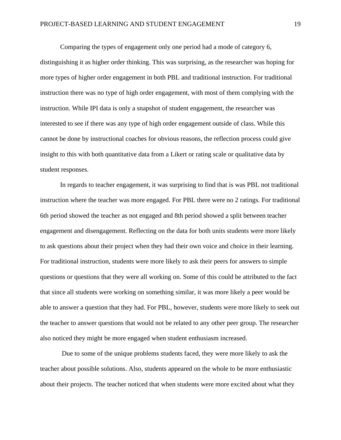Comparing the types of engagement only one period had a mode of category 6, distinguishing it as higher order thinking. This was surprising, as the researcher was hoping for more types of higher order engagement in both PBL and traditional instruction. For traditional instruction there was no type of high order engagement, with most of them complying with the instruction. While IPI data is only a snapshot of student engagement, the researcher was interested to see if there was any type of high order engagement outside of class. While this cannot be done by instructional coaches for obvious reasons, the reflection process could give insight to this with both quantitative data from a Likert or rating scale or qualitative data by student responses.

In regards to teacher engagement, it was surprising to find that is was PBL not traditional instruction where the teacher was more engaged. For PBL there were no 2 ratings. For traditional 6th period showed the teacher as not engaged and 8th period showed a split between teacher engagement and disengagement. Reflecting on the data for both units students were more likely to ask questions about their project when they had their own voice and choice in their learning. For traditional instruction, students were more likely to ask their peers for answers to simple questions or questions that they were all working on. Some of this could be attributed to the fact that since all students were working on something similar, it was more likely a peer would be able to answer a question that they had. For PBL, however, students were more likely to seek out the teacher to answer questions that would not be related to any other peer group. The researcher also noticed they might be more engaged when student enthusiasm increased.

Due to some of the unique problems students faced, they were more likely to ask the teacher about possible solutions. Also, students appeared on the whole to be more enthusiastic about their projects. The teacher noticed that when students were more excited about what they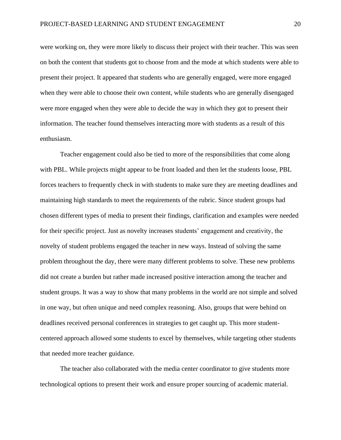were working on, they were more likely to discuss their project with their teacher. This was seen on both the content that students got to choose from and the mode at which students were able to present their project. It appeared that students who are generally engaged, were more engaged when they were able to choose their own content, while students who are generally disengaged were more engaged when they were able to decide the way in which they got to present their information. The teacher found themselves interacting more with students as a result of this enthusiasm.

Teacher engagement could also be tied to more of the responsibilities that come along with PBL. While projects might appear to be front loaded and then let the students loose, PBL forces teachers to frequently check in with students to make sure they are meeting deadlines and maintaining high standards to meet the requirements of the rubric. Since student groups had chosen different types of media to present their findings, clarification and examples were needed for their specific project. Just as novelty increases students' engagement and creativity, the novelty of student problems engaged the teacher in new ways. Instead of solving the same problem throughout the day, there were many different problems to solve. These new problems did not create a burden but rather made increased positive interaction among the teacher and student groups. It was a way to show that many problems in the world are not simple and solved in one way, but often unique and need complex reasoning. Also, groups that were behind on deadlines received personal conferences in strategies to get caught up. This more studentcentered approach allowed some students to excel by themselves, while targeting other students that needed more teacher guidance.

The teacher also collaborated with the media center coordinator to give students more technological options to present their work and ensure proper sourcing of academic material.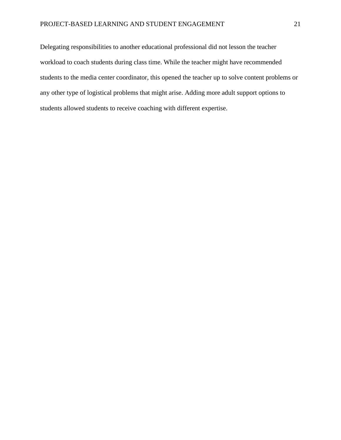Delegating responsibilities to another educational professional did not lesson the teacher workload to coach students during class time. While the teacher might have recommended students to the media center coordinator, this opened the teacher up to solve content problems or any other type of logistical problems that might arise. Adding more adult support options to students allowed students to receive coaching with different expertise.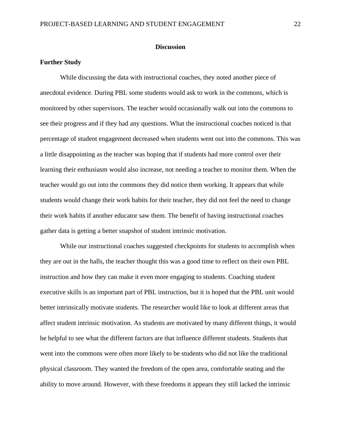#### **Discussion**

## **Further Study**

While discussing the data with instructional coaches, they noted another piece of anecdotal evidence. During PBL some students would ask to work in the commons, which is monitored by other supervisors. The teacher would occasionally walk out into the commons to see their progress and if they had any questions. What the instructional coaches noticed is that percentage of student engagement decreased when students went out into the commons. This was a little disappointing as the teacher was hoping that if students had more control over their learning their enthusiasm would also increase, not needing a teacher to monitor them. When the teacher would go out into the commons they did notice them working. It appears that while students would change their work habits for their teacher, they did not feel the need to change their work habits if another educator saw them. The benefit of having instructional coaches gather data is getting a better snapshot of student intrinsic motivation.

While our instructional coaches suggested checkpoints for students to accomplish when they are out in the halls, the teacher thought this was a good time to reflect on their own PBL instruction and how they can make it even more engaging to students. Coaching student executive skills is an important part of PBL instruction, but it is hoped that the PBL unit would better intrinsically motivate students. The researcher would like to look at different areas that affect student intrinsic motivation. As students are motivated by many different things, it would be helpful to see what the different factors are that influence different students. Students that went into the commons were often more likely to be students who did not like the traditional physical classroom. They wanted the freedom of the open area, comfortable seating and the ability to move around. However, with these freedoms it appears they still lacked the intrinsic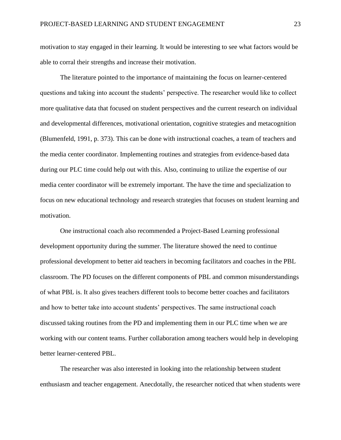motivation to stay engaged in their learning. It would be interesting to see what factors would be able to corral their strengths and increase their motivation.

The literature pointed to the importance of maintaining the focus on learner-centered questions and taking into account the students' perspective. The researcher would like to collect more qualitative data that focused on student perspectives and the current research on individual and developmental differences, motivational orientation, cognitive strategies and metacognition (Blumenfeld, 1991, p. 373). This can be done with instructional coaches, a team of teachers and the media center coordinator. Implementing routines and strategies from evidence-based data during our PLC time could help out with this. Also, continuing to utilize the expertise of our media center coordinator will be extremely important. The have the time and specialization to focus on new educational technology and research strategies that focuses on student learning and motivation.

One instructional coach also recommended a Project-Based Learning professional development opportunity during the summer. The literature showed the need to continue professional development to better aid teachers in becoming facilitators and coaches in the PBL classroom. The PD focuses on the different components of PBL and common misunderstandings of what PBL is. It also gives teachers different tools to become better coaches and facilitators and how to better take into account students' perspectives. The same instructional coach discussed taking routines from the PD and implementing them in our PLC time when we are working with our content teams. Further collaboration among teachers would help in developing better learner-centered PBL.

The researcher was also interested in looking into the relationship between student enthusiasm and teacher engagement. Anecdotally, the researcher noticed that when students were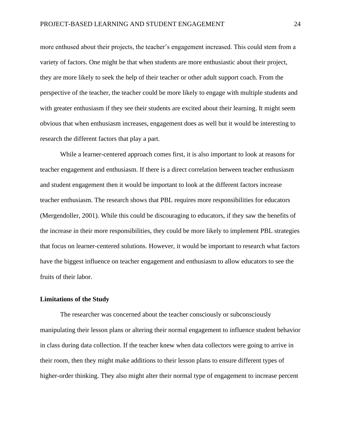more enthused about their projects, the teacher's engagement increased. This could stem from a variety of factors. One might be that when students are more enthusiastic about their project, they are more likely to seek the help of their teacher or other adult support coach. From the perspective of the teacher, the teacher could be more likely to engage with multiple students and with greater enthusiasm if they see their students are excited about their learning. It might seem obvious that when enthusiasm increases, engagement does as well but it would be interesting to research the different factors that play a part.

While a learner-centered approach comes first, it is also important to look at reasons for teacher engagement and enthusiasm. If there is a direct correlation between teacher enthusiasm and student engagement then it would be important to look at the different factors increase teacher enthusiasm. The research shows that PBL requires more responsibilities for educators (Mergendoller, 2001). While this could be discouraging to educators, if they saw the benefits of the increase in their more responsibilities, they could be more likely to implement PBL strategies that focus on learner-centered solutions. However, it would be important to research what factors have the biggest influence on teacher engagement and enthusiasm to allow educators to see the fruits of their labor.

## **Limitations of the Study**

The researcher was concerned about the teacher consciously or subconsciously manipulating their lesson plans or altering their normal engagement to influence student behavior in class during data collection. If the teacher knew when data collectors were going to arrive in their room, then they might make additions to their lesson plans to ensure different types of higher-order thinking. They also might alter their normal type of engagement to increase percent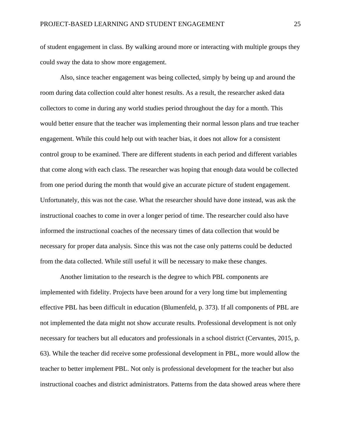of student engagement in class. By walking around more or interacting with multiple groups they could sway the data to show more engagement.

Also, since teacher engagement was being collected, simply by being up and around the room during data collection could alter honest results. As a result, the researcher asked data collectors to come in during any world studies period throughout the day for a month. This would better ensure that the teacher was implementing their normal lesson plans and true teacher engagement. While this could help out with teacher bias, it does not allow for a consistent control group to be examined. There are different students in each period and different variables that come along with each class. The researcher was hoping that enough data would be collected from one period during the month that would give an accurate picture of student engagement. Unfortunately, this was not the case. What the researcher should have done instead, was ask the instructional coaches to come in over a longer period of time. The researcher could also have informed the instructional coaches of the necessary times of data collection that would be necessary for proper data analysis. Since this was not the case only patterns could be deducted from the data collected. While still useful it will be necessary to make these changes.

Another limitation to the research is the degree to which PBL components are implemented with fidelity. Projects have been around for a very long time but implementing effective PBL has been difficult in education (Blumenfeld, p. 373). If all components of PBL are not implemented the data might not show accurate results. Professional development is not only necessary for teachers but all educators and professionals in a school district (Cervantes, 2015, p. 63). While the teacher did receive some professional development in PBL, more would allow the teacher to better implement PBL. Not only is professional development for the teacher but also instructional coaches and district administrators. Patterns from the data showed areas where there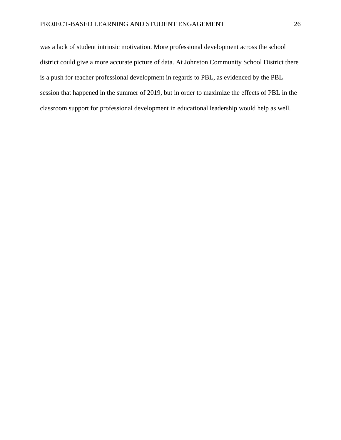was a lack of student intrinsic motivation. More professional development across the school district could give a more accurate picture of data. At Johnston Community School District there is a push for teacher professional development in regards to PBL, as evidenced by the PBL session that happened in the summer of 2019, but in order to maximize the effects of PBL in the classroom support for professional development in educational leadership would help as well.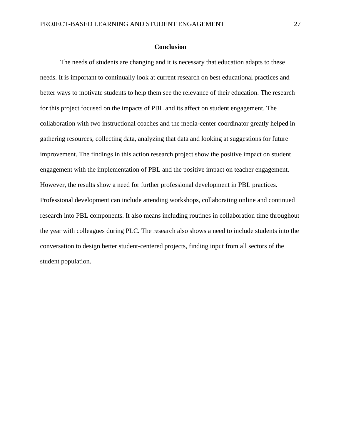# **Conclusion**

The needs of students are changing and it is necessary that education adapts to these needs. It is important to continually look at current research on best educational practices and better ways to motivate students to help them see the relevance of their education. The research for this project focused on the impacts of PBL and its affect on student engagement. The collaboration with two instructional coaches and the media-center coordinator greatly helped in gathering resources, collecting data, analyzing that data and looking at suggestions for future improvement. The findings in this action research project show the positive impact on student engagement with the implementation of PBL and the positive impact on teacher engagement. However, the results show a need for further professional development in PBL practices. Professional development can include attending workshops, collaborating online and continued research into PBL components. It also means including routines in collaboration time throughout the year with colleagues during PLC. The research also shows a need to include students into the conversation to design better student-centered projects, finding input from all sectors of the student population.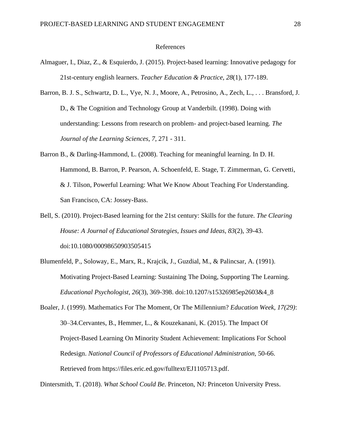### References

- Almaguer, I., Diaz, Z., & Esquierdo, J. (2015). Project-based learning: Innovative pedagogy for 21st-century english learners. *Teacher Education & Practice, 28*(1), 177-189.
- Barron, B. J. S., Schwartz, D. L., Vye, N. J., Moore, A., Petrosino, A., Zech, L., . . . Bransford, J. D., & The Cognition and Technology Group at Vanderbilt. (1998). Doing with understanding: Lessons from research on problem- and project-based learning. *The Journal of the Learning Sciences*, *7*, 271 - 311.
- Barron B., & Darling-Hammond, L. (2008). Teaching for meaningful learning. In D. H. Hammond, B. Barron, P. Pearson, A. Schoenfeld, E. Stage, T. Zimmerman, G. Cervetti, & J. Tilson, Powerful Learning: What We Know About Teaching For Understanding. San Francisco, CA: Jossey-Bass.
- Bell, S. (2010). Project-Based learning for the 21st century: Skills for the future. *The Clearing House: A Journal of Educational Strategies, Issues and Ideas, 83*(2), 39-43. doi:10.1080/00098650903505415
- Blumenfeld, P., Soloway, E., Marx, R., Krajcik, J., Guzdial, M., & Palincsar, A. (1991). Motivating Project-Based Learning: Sustaining The Doing, Supporting The Learning. *Educational Psychologist, 26*(3), 369-398. doi:10.1207/s15326985ep2603&4\_8

Boaler, J. (1999). Mathematics For The Moment, Or The Millennium? *Education Week, 17(29)*: 30–34.Cervantes, B., Hemmer, L., & Kouzekanani, K. (2015). The Impact Of Project-Based Learning On Minority Student Achievement: Implications For School Redesign. *National Council of Professors of Educational Administration,* 50-66. Retrieved from https://files.eric.ed.gov/fulltext/EJ1105713.pdf.

Dintersmith, T. (2018). *What School Could Be*. Princeton, NJ: Princeton University Press.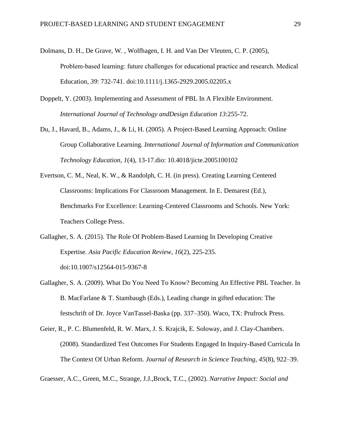- Dolmans, D. H., De Grave, W. , Wolfhagen, I. H. and Van Der Vleuten, C. P. (2005), Problem‐based learning: future challenges for educational practice and research. Medical Education, *39*: 732-741. doi:10.1111/j.1365-2929.2005.02205.x
- Doppelt, Y. (2003). Implementing and Assessment of PBL In A Flexible Environment. *International Journal of Technology andDesign Education 13*:255-72.
- Du, J., Havard, B., Adams, J., & Li, H. (2005). A Project-Based Learning Approach: Online Group Collaborative Learning. *International Journal of Information and Communication Technology Education*, *1*(4), 13-17.dio: 10.4018/jicte.2005100102

Evertson, C. M., Neal, K. W., & Randolph, C. H. (in press). Creating Learning Centered Classrooms: Implications For Classroom Management. In E. Demarest (Ed.), Benchmarks For Excellence: Learning-Centered Classrooms and Schools. New York: Teachers College Press.

- Gallagher, S. A. (2015). The Role Of Problem-Based Learning In Developing Creative Expertise. *Asia Pacific Education Review, 16*(2), 225-235. doi:10.1007/s12564-015-9367-8
- Gallagher, S. A. (2009). What Do You Need To Know? Becoming An Effective PBL Teacher. In B. MacFarlane & T. Stambaugh (Eds.), Leading change in gifted education: The festschrift of Dr. Joyce VanTassel-Baska (pp. 337–350). Waco, TX: Prufrock Press.
- Geier, R., P. C. Blumenfeld, R. W. Marx, J. S. Krajcik, E. Soloway, and J. Clay-Chambers. (2008). Standardized Test Outcomes For Students Engaged In Inquiry-Based Curricula In The Context Of Urban Reform. *Journal of Research in Science Teaching, 45*(8), 922–39.

Graesser, A.C., Green, M.C., Strange, J.J.,Brock, T.C., (2002). *Narrative Impact: Social and*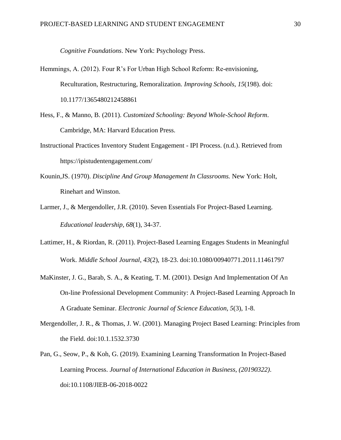*Cognitive Foundations*. New York: Psychology Press.

- Hemmings, A. (2012). Four R's For Urban High School Reform: Re-envisioning, Reculturation, Restructuring, Remoralization. *Improving Schools*, *15*(198). doi: 10.1177/1365480212458861
- Hess, F., & Manno, B. (2011). *Customized Schooling: Beyond Whole-School Reform*. Cambridge, MA: Harvard Education Press.
- Instructional Practices Inventory Student Engagement IPI Process. (n.d.). Retrieved from https://ipistudentengagement.com/
- Kounin,JS. (1970). *Discipline And Group Management In Classrooms.* New York: Holt, Rinehart and Winston.
- Larmer, J., & Mergendoller, J.R. (2010). Seven Essentials For Project-Based Learning. *Educational leadership*, *68*(1), 34-37.
- Lattimer, H., & Riordan, R. (2011). Project-Based Learning Engages Students in Meaningful Work. *Middle School Journal*, *43*(2), 18-23. doi:10.1080/00940771.2011.11461797
- MaKinster, J. G., Barab, S. A., & Keating, T. M. (2001). Design And Implementation Of An On-line Professional Development Community: A Project-Based Learning Approach In A Graduate Seminar. *Electronic Journal of Science Education, 5*(3), 1-8.
- Mergendoller, J. R., & Thomas, J. W. (2001). Managing Project Based Learning: Principles from the Field. doi:10.1.1532.3730
- Pan, G., Seow, P., & Koh, G. (2019). Examining Learning Transformation In Project-Based Learning Process. *Journal of International Education in Business, (20190322)*. doi:10.1108/JIEB-06-2018-0022